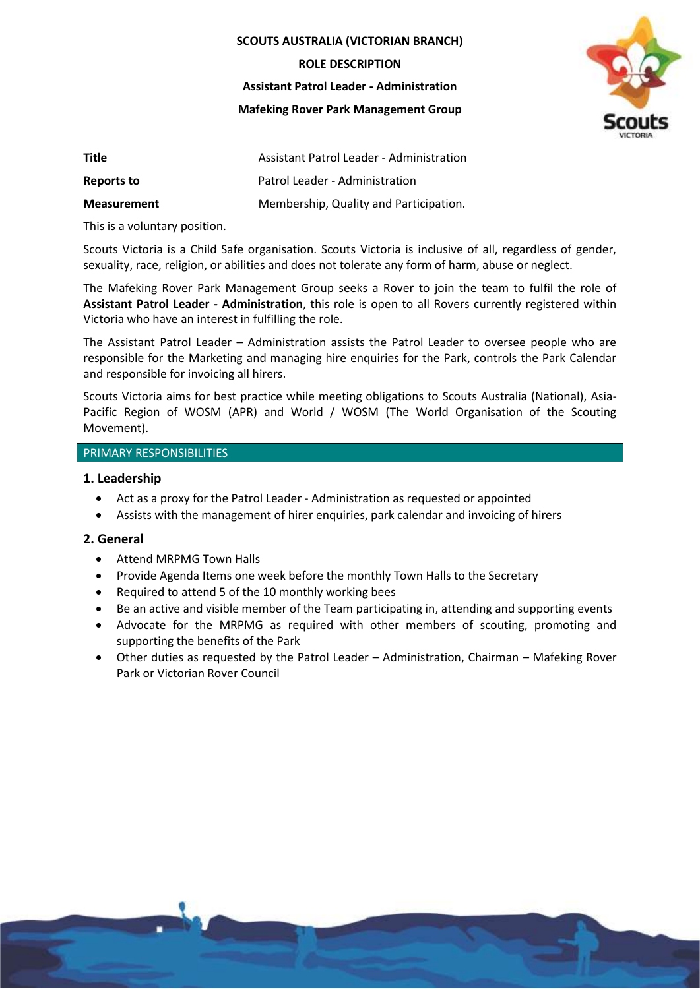#### **SCOUTS AUSTRALIA (VICTORIAN BRANCH)**

**ROLE DESCRIPTION**

**Assistant Patrol Leader - Administration**

**Mafeking Rover Park Management Group**



| <b>Title</b>       | Assistant Patrol Leader - Administration |
|--------------------|------------------------------------------|
| Reports to         | Patrol Leader - Administration           |
| <b>Measurement</b> | Membership, Quality and Participation.   |

This is a voluntary position.

Scouts Victoria is a Child Safe organisation. Scouts Victoria is inclusive of all, regardless of gender, sexuality, race, religion, or abilities and does not tolerate any form of harm, abuse or neglect.

The Mafeking Rover Park Management Group seeks a Rover to join the team to fulfil the role of **Assistant Patrol Leader - Administration**, this role is open to all Rovers currently registered within Victoria who have an interest in fulfilling the role.

The Assistant Patrol Leader – Administration assists the Patrol Leader to oversee people who are responsible for the Marketing and managing hire enquiries for the Park, controls the Park Calendar and responsible for invoicing all hirers.

Scouts Victoria aims for best practice while meeting obligations to Scouts Australia (National), Asia-Pacific Region of WOSM (APR) and World / WOSM (The World Organisation of the Scouting Movement).

### PRIMARY RESPONSIBILITIES

### **1. Leadership**

- Act as a proxy for the Patrol Leader Administration as requested or appointed
- Assists with the management of hirer enquiries, park calendar and invoicing of hirers

### **2. General**

- Attend MRPMG Town Halls
- Provide Agenda Items one week before the monthly Town Halls to the Secretary
- Required to attend 5 of the 10 monthly working bees
- Be an active and visible member of the Team participating in, attending and supporting events
- Advocate for the MRPMG as required with other members of scouting, promoting and supporting the benefits of the Park
- Other duties as requested by the Patrol Leader Administration, Chairman Mafeking Rover Park or Victorian Rover Council